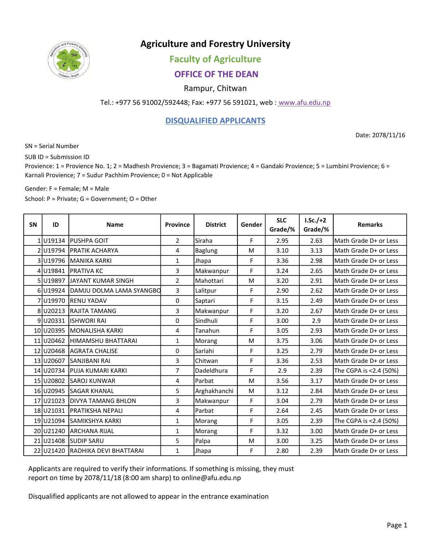

# Agriculture and Forestry University

## Faculty of Agriculture

## OFFICE OF THE DEAN

#### Rampur, Chitwan

Tel.: +977 56 91002/592448; Fax: +977 56 591021, web : www.afu.edu.np

#### DISQUALIFIED APPLICANTS

Date: 2078/11/16

SN = Serial Number

SUB ID = Submission ID

Provience: 1 = Provience No. 1; 2 = Madhesh Provience; 3 = Bagamati Provience; 4 = Gandaki Provience; 5 = Lumbini Provience; 6 = Karnali Provience; 7 = Sudur Pachhim Provience; 0 = Not Applicable

Gender: F = Female; M = Male

School: P = Private; G = Government; O = Other

| <b>SN</b> | ID        | <b>Name</b>                | <b>Province</b> | <b>District</b> | Gender | <b>SLC</b><br>Grade/% | $LSc./+2$<br>Grade/% | <b>Remarks</b>         |
|-----------|-----------|----------------------------|-----------------|-----------------|--------|-----------------------|----------------------|------------------------|
|           | 1U19134   | IPUSHPA GOIT               | $\overline{2}$  | Siraha          | F      | 2.95                  | 2.63                 | Math Grade D+ or Less  |
|           | 2U19794   | <b>PRATIK ACHARYA</b>      | 4               | <b>Baglung</b>  | M      | 3.10                  | 3.13                 | Math Grade D+ or Less  |
|           | 3U19796   | MANIKA KARKI               | $\mathbf 1$     | Jhapa           | F      | 3.36                  | 2.98                 | Math Grade D+ or Less  |
|           | 4 U19841  | <b>PRATIVA KC</b>          | 3               | Makwanpur       | F      | 3.24                  | 2.65                 | Math Grade D+ or Less  |
|           | 5U19897   | <b>JJAYANT KUMAR SINGH</b> | $\overline{2}$  | Mahottari       | M      | 3.20                  | 2.91                 | Math Grade D+ or Less  |
|           | 6 U19924  | ldamju dolma lama syangbd  | 3               | Lalitpur        | F      | 2.90                  | 2.62                 | Math Grade D+ or Less  |
|           | 7U19970   | <b>RENU YADAV</b>          | 0               | Saptari         | F      | 3.15                  | 2.49                 | Math Grade D+ or Less  |
|           | 8 U20213  | <b>IRAJITA TAMANG</b>      | 3               | Makwanpur       | F      | 3.20                  | 2.67                 | Math Grade D+ or Less  |
|           | 9 U20331  | <b>ISHWORI RAI</b>         | 0               | Sindhuli        | F      | 3.00                  | 2.9                  | Math Grade D+ or Less  |
|           | 10 U20395 | <b>IMONALISHA KARKI</b>    | 4               | Tanahun         | F      | 3.05                  | 2.93                 | Math Grade D+ or Less  |
|           | 11 U20462 | <b>HIMAMSHU BHATTARAI</b>  | $\mathbf{1}$    | Morang          | M      | 3.75                  | 3.06                 | Math Grade D+ or Less  |
|           | 12 U20468 | <b>JAGRATA CHALISE</b>     | 0               | Sarlahi         | F      | 3.25                  | 2.79                 | Math Grade D+ or Less  |
|           | 13 U20607 | <b>SANJIBANI RAI</b>       | 3               | Chitwan         | F      | 3.36                  | 2.53                 | Math Grade D+ or Less  |
|           | 14 U20734 | <b>IPUJA KUMARI KARKI</b>  | $\overline{7}$  | Dadeldhura      | F      | 2.9                   | 2.39                 | The CGPA is <2.4 (50%) |
|           | 15 U20802 | <b>SAROJ KUNWAR</b>        | 4               | Parbat          | M      | 3.56                  | 3.17                 | Math Grade D+ or Less  |
|           | 16 U20945 | <b>ISAGAR KHANAL</b>       | 5               | Arghakhanchi    | M      | 3.12                  | 2.84                 | Math Grade D+ or Less  |
|           | 17 U21023 | IDIVYA TAMANG BHLON        | 3               | Makwanpur       | F      | 3.04                  | 2.79                 | Math Grade D+ or Less  |
|           | 18 U21031 | <b>IPRATIKSHA NEPALI</b>   | 4               | Parbat          | F      | 2.64                  | 2.45                 | Math Grade D+ or Less  |
|           | 19 U21094 | ISAMIKSHYA KARKI           | 1               | Morang          | F      | 3.05                  | 2.39                 | The CGPA is <2.4 (50%) |
|           | 20 U21240 | <b>JARCHANA RIJAL</b>      | 1               | Morang          | F      | 3.32                  | 3.00                 | Math Grade D+ or Less  |
|           | 21 U21408 | <b>ISUDIP SARU</b>         | 5               | Palpa           | M      | 3.00                  | 3.25                 | Math Grade D+ or Less  |
|           | 22 U21420 | RADHIKA DEVI BHATTARAI     | $\mathbf{1}$    | Jhapa           | F      | 2.80                  | 2.39                 | Math Grade D+ or Less  |

Applicants are required to verify their informations. If something is missing, they must report on time by 2078/11/18 (8:00 am sharp) to online@afu.edu.np

Disqualified applicants are not allowed to appear in the entrance examination